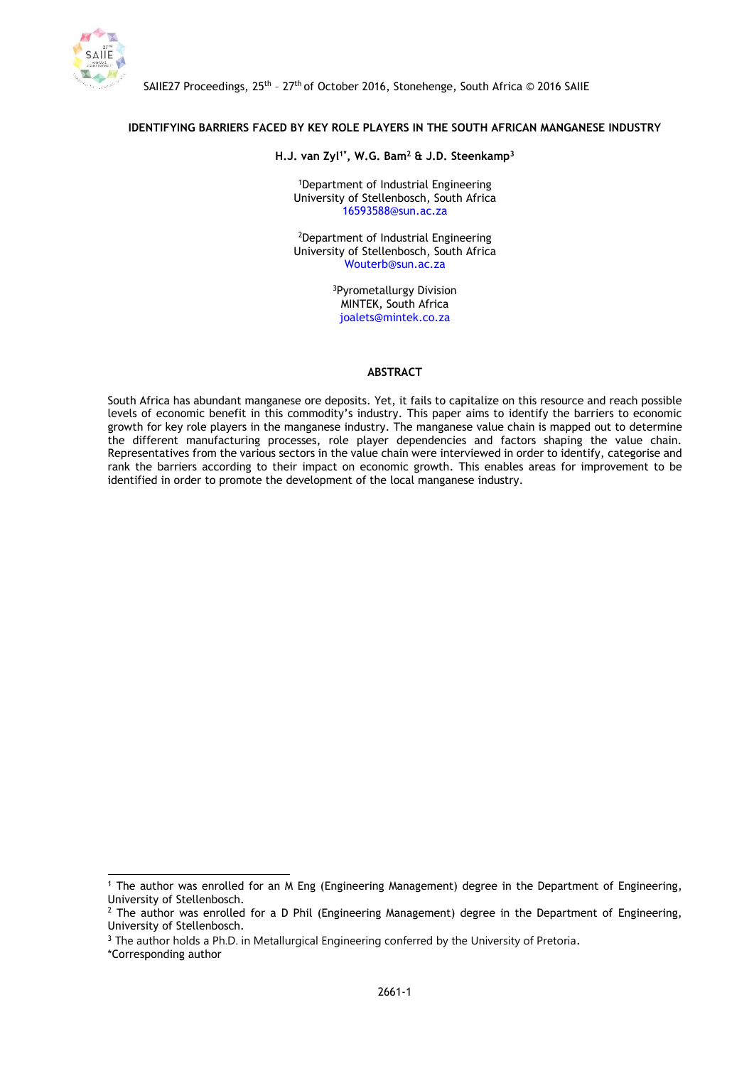

 $\overline{a}$ 

# **IDENTIFYING BARRIERS FACED BY KEY ROLE PLAYERS IN THE SOUTH AFRICAN MANGANESE INDUSTRY**

### **H.J. van Zyl1\* , W.G. Bam<sup>2</sup> & J.D. Steenkamp<sup>3</sup>**

<sup>1</sup>Department of Industrial Engineering University of Stellenbosch, South Africa 16593588@sun.ac.za

<sup>2</sup>Department of Industrial Engineering University of Stellenbosch, South Africa Wouterb@sun.ac.za

> <sup>3</sup>Pyrometallurgy Division MINTEK, South Africa joalets@mintek.co.za

### **ABSTRACT**

South Africa has abundant manganese ore deposits. Yet, it fails to capitalize on this resource and reach possible levels of economic benefit in this commodity's industry. This paper aims to identify the barriers to economic growth for key role players in the manganese industry. The manganese value chain is mapped out to determine the different manufacturing processes, role player dependencies and factors shaping the value chain. Representatives from the various sectors in the value chain were interviewed in order to identify, categorise and rank the barriers according to their impact on economic growth. This enables areas for improvement to be identified in order to promote the development of the local manganese industry.

<sup>1</sup> The author was enrolled for an M Eng (Engineering Management) degree in the Department of Engineering, University of Stellenbosch.

 $<sup>2</sup>$  The author was enrolled for a D Phil (Engineering Management) degree in the Department of Engineering,</sup> University of Stellenbosch.

<sup>&</sup>lt;sup>3</sup> The author holds a Ph.D. in Metallurgical Engineering conferred by the University of Pretoria. \*Corresponding author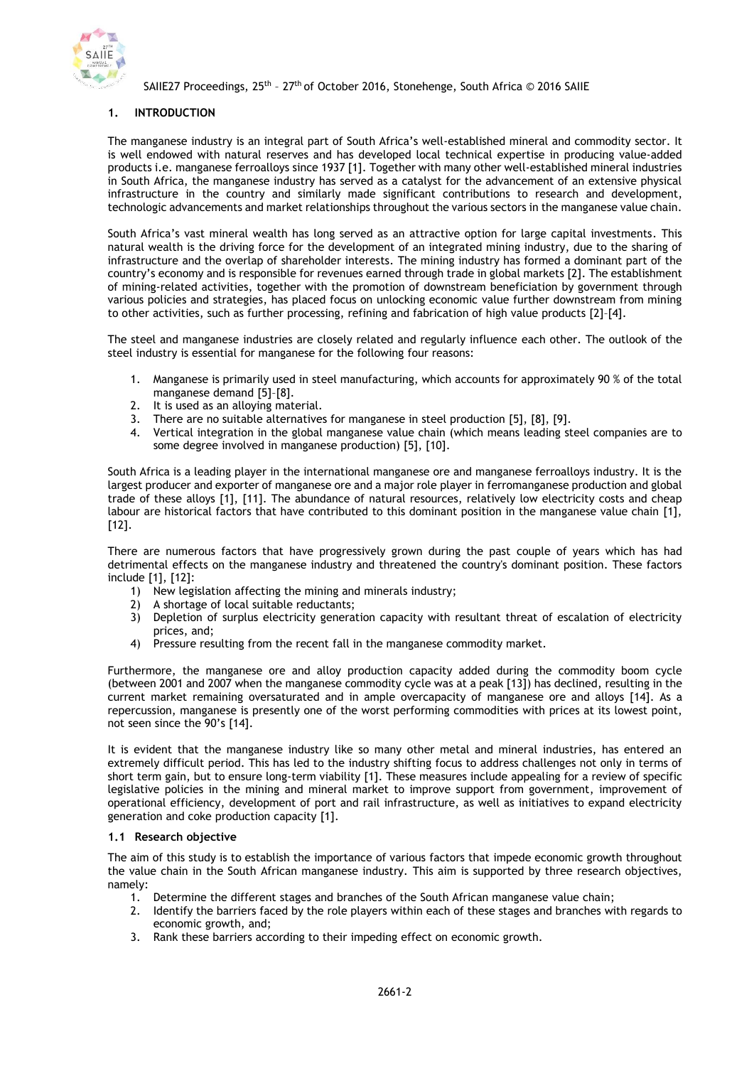

## **1. INTRODUCTION**

The manganese industry is an integral part of South Africa's well-established mineral and commodity sector. It is well endowed with natural reserves and has developed local technical expertise in producing value-added products i.e. manganese ferroalloys since 1937 [1]. Together with many other well-established mineral industries in South Africa, the manganese industry has served as a catalyst for the advancement of an extensive physical infrastructure in the country and similarly made significant contributions to research and development, technologic advancements and market relationships throughout the various sectors in the manganese value chain.

South Africa's vast mineral wealth has long served as an attractive option for large capital investments. This natural wealth is the driving force for the development of an integrated mining industry, due to the sharing of infrastructure and the overlap of shareholder interests. The mining industry has formed a dominant part of the country's economy and is responsible for revenues earned through trade in global markets [2]. The establishment of mining-related activities, together with the promotion of downstream beneficiation by government through various policies and strategies, has placed focus on unlocking economic value further downstream from mining to other activities, such as further processing, refining and fabrication of high value products [2]–[4].

The steel and manganese industries are closely related and regularly influence each other. The outlook of the steel industry is essential for manganese for the following four reasons:

- 1. Manganese is primarily used in steel manufacturing, which accounts for approximately 90 % of the total manganese demand [5]–[8].
- 2. It is used as an alloying material.
- 3. There are no suitable alternatives for manganese in steel production [5], [8], [9].
- 4. Vertical integration in the global manganese value chain (which means leading steel companies are to some degree involved in manganese production) [5], [10].

South Africa is a leading player in the international manganese ore and manganese ferroalloys industry. It is the largest producer and exporter of manganese ore and a major role player in ferromanganese production and global trade of these alloys [1], [11]. The abundance of natural resources, relatively low electricity costs and cheap labour are historical factors that have contributed to this dominant position in the manganese value chain [1], [12].

There are numerous factors that have progressively grown during the past couple of years which has had detrimental effects on the manganese industry and threatened the country's dominant position. These factors include [1], [12]:

- 1) New legislation affecting the mining and minerals industry;
- 2) A shortage of local suitable reductants;
- 3) Depletion of surplus electricity generation capacity with resultant threat of escalation of electricity prices, and;
- 4) Pressure resulting from the recent fall in the manganese commodity market.

Furthermore, the manganese ore and alloy production capacity added during the commodity boom cycle (between 2001 and 2007 when the manganese commodity cycle was at a peak [13]) has declined, resulting in the current market remaining oversaturated and in ample overcapacity of manganese ore and alloys [14]. As a repercussion, manganese is presently one of the worst performing commodities with prices at its lowest point, not seen since the 90's [14].

It is evident that the manganese industry like so many other metal and mineral industries, has entered an extremely difficult period. This has led to the industry shifting focus to address challenges not only in terms of short term gain, but to ensure long-term viability [1]. These measures include appealing for a review of specific legislative policies in the mining and mineral market to improve support from government, improvement of operational efficiency, development of port and rail infrastructure, as well as initiatives to expand electricity generation and coke production capacity [1].

### **1.1 Research objective**

The aim of this study is to establish the importance of various factors that impede economic growth throughout the value chain in the South African manganese industry. This aim is supported by three research objectives, namely:

- 1. Determine the different stages and branches of the South African manganese value chain;
- 2. Identify the barriers faced by the role players within each of these stages and branches with regards to economic growth, and;
- 3. Rank these barriers according to their impeding effect on economic growth.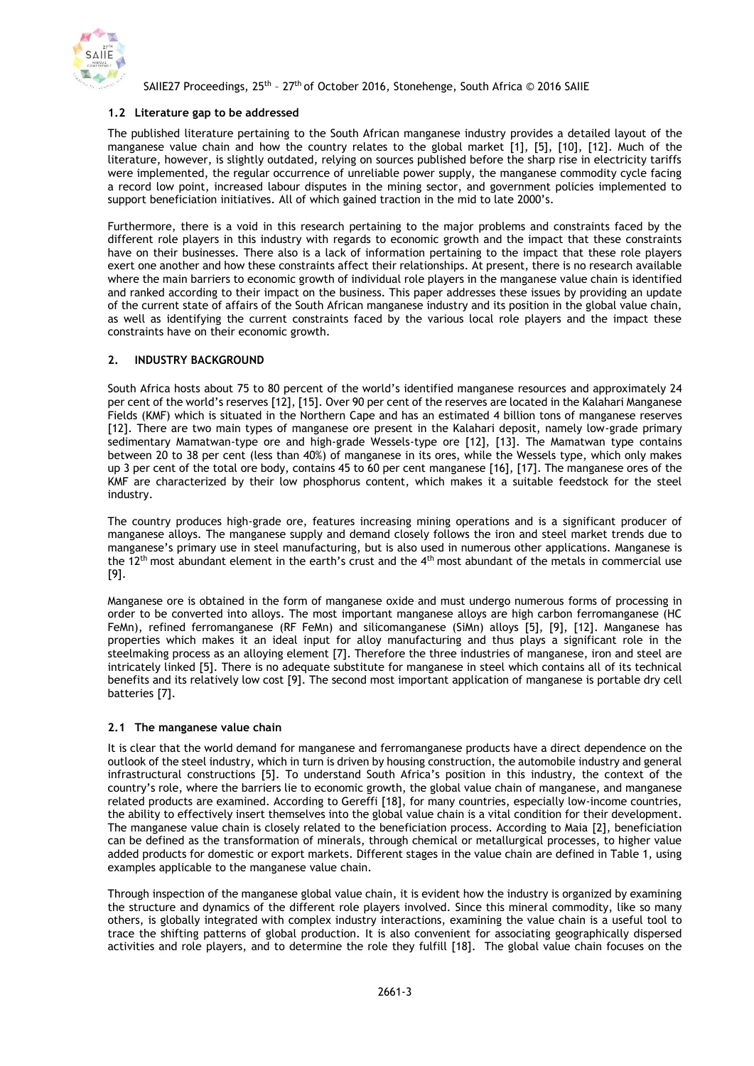

## **1.2 Literature gap to be addressed**

The published literature pertaining to the South African manganese industry provides a detailed layout of the manganese value chain and how the country relates to the global market [1], [5], [10], [12]. Much of the literature, however, is slightly outdated, relying on sources published before the sharp rise in electricity tariffs were implemented, the regular occurrence of unreliable power supply, the manganese commodity cycle facing a record low point, increased labour disputes in the mining sector, and government policies implemented to support beneficiation initiatives. All of which gained traction in the mid to late 2000's.

Furthermore, there is a void in this research pertaining to the major problems and constraints faced by the different role players in this industry with regards to economic growth and the impact that these constraints have on their businesses. There also is a lack of information pertaining to the impact that these role players exert one another and how these constraints affect their relationships. At present, there is no research available where the main barriers to economic growth of individual role players in the manganese value chain is identified and ranked according to their impact on the business. This paper addresses these issues by providing an update of the current state of affairs of the South African manganese industry and its position in the global value chain, as well as identifying the current constraints faced by the various local role players and the impact these constraints have on their economic growth.

## **2. INDUSTRY BACKGROUND**

South Africa hosts about 75 to 80 percent of the world's identified manganese resources and approximately 24 per cent of the world's reserves [12], [15]. Over 90 per cent of the reserves are located in the Kalahari Manganese Fields (KMF) which is situated in the Northern Cape and has an estimated 4 billion tons of manganese reserves [12]. There are two main types of manganese ore present in the Kalahari deposit, namely low-grade primary sedimentary Mamatwan-type ore and high-grade Wessels-type ore [12], [13]. The Mamatwan type contains between 20 to 38 per cent (less than 40%) of manganese in its ores, while the Wessels type, which only makes up 3 per cent of the total ore body, contains 45 to 60 per cent manganese [16], [17]. The manganese ores of the KMF are characterized by their low phosphorus content, which makes it a suitable feedstock for the steel industry.

The country produces high-grade ore, features increasing mining operations and is a significant producer of manganese alloys. The manganese supply and demand closely follows the iron and steel market trends due to manganese's primary use in steel manufacturing, but is also used in numerous other applications. Manganese is the 12th most abundant element in the earth's crust and the 4th most abundant of the metals in commercial use [9].

Manganese ore is obtained in the form of manganese oxide and must undergo numerous forms of processing in order to be converted into alloys. The most important manganese alloys are high carbon ferromanganese (HC FeMn), refined ferromanganese (RF FeMn) and silicomanganese (SiMn) alloys [5], [9], [12]. Manganese has properties which makes it an ideal input for alloy manufacturing and thus plays a significant role in the steelmaking process as an alloying element [7]. Therefore the three industries of manganese, iron and steel are intricately linked [5]. There is no adequate substitute for manganese in steel which contains all of its technical benefits and its relatively low cost [9]. The second most important application of manganese is portable dry cell batteries [7].

## **2.1 The manganese value chain**

It is clear that the world demand for manganese and ferromanganese products have a direct dependence on the outlook of the steel industry, which in turn is driven by housing construction, the automobile industry and general infrastructural constructions [5]. To understand South Africa's position in this industry, the context of the country's role, where the barriers lie to economic growth, the global value chain of manganese, and manganese related products are examined. According to Gereffi [18], for many countries, especially low-income countries, the ability to effectively insert themselves into the global value chain is a vital condition for their development. The manganese value chain is closely related to the beneficiation process. According to Maia [2], beneficiation can be defined as the transformation of minerals, through chemical or metallurgical processes, to higher value added products for domestic or export markets. Different stages in the value chain are defined in Table 1, using examples applicable to the manganese value chain.

Through inspection of the manganese global value chain, it is evident how the industry is organized by examining the structure and dynamics of the different role players involved. Since this mineral commodity, like so many others, is globally integrated with complex industry interactions, examining the value chain is a useful tool to trace the shifting patterns of global production. It is also convenient for associating geographically dispersed activities and role players, and to determine the role they fulfill [18]. The global value chain focuses on the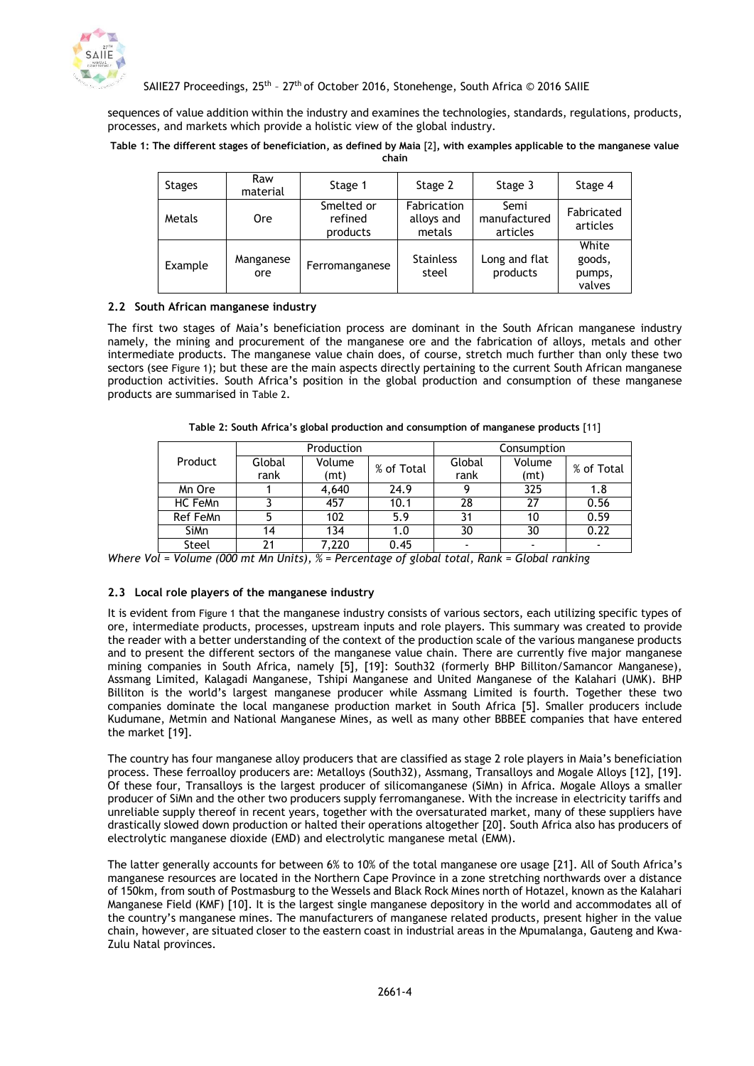

sequences of value addition within the industry and examines the technologies, standards, regulations, products, processes, and markets which provide a holistic view of the global industry.

#### **Table 1: The different stages of beneficiation, as defined by Maia** [2]**, with examples applicable to the manganese value chain**

| <b>Stages</b> | Raw<br>material  | Stage 1                           | Stage 2                             | Stage 3                          | Stage 4                             |
|---------------|------------------|-----------------------------------|-------------------------------------|----------------------------------|-------------------------------------|
| Metals        | <b>Ore</b>       | Smelted or<br>refined<br>products | Fabrication<br>alloys and<br>metals | Semi<br>manufactured<br>articles | Fabricated<br>articles              |
| Example       | Manganese<br>ore | Ferromanganese                    | <b>Stainless</b><br>steel           | Long and flat<br>products        | White<br>goods,<br>pumps,<br>valves |

## **2.2 South African manganese industry**

The first two stages of Maia's beneficiation process are dominant in the South African manganese industry namely, the mining and procurement of the manganese ore and the fabrication of alloys, metals and other intermediate products. The manganese value chain does, of course, stretch much further than only these two sectors (see [Figure 1](#page-4-0)); but these are the main aspects directly pertaining to the current South African manganese production activities. South Africa's position in the global production and consumption of these manganese products are summarised in [Table 2](#page-3-0).

<span id="page-3-0"></span>

|             | Production |        |            | Consumption |        |                |  |
|-------------|------------|--------|------------|-------------|--------|----------------|--|
| Product     | Global     | Volume | % of Total | Global      | Volume | % of Total     |  |
|             | rank       | (mt)   |            | rank        | (mt)   |                |  |
| Mn Ore      |            | 4,640  | 24.9       |             | 325    | 1.8            |  |
| HC FeMn     |            | 457    | 10.1       | 28          | 27     | 0.56           |  |
| Ref FeMn    |            | 102    | 5.9        |             | 10     | 0.59           |  |
| <b>SiMn</b> | 14         | 134    | 1.0        | 30          | 30     | 0.22           |  |
| Steel       | 71         | 7,220  | 0.45       |             |        | $\blacksquare$ |  |

**Table 2: South Africa's global production and consumption of manganese products** [11]

*Where Vol = Volume (000 mt Mn Units), % = Percentage of global total, Rank = Global ranking*

## **2.3 Local role players of the manganese industry**

It is evident from [Figure 1](#page-4-0) that the manganese industry consists of various sectors, each utilizing specific types of ore, intermediate products, processes, upstream inputs and role players. This summary was created to provide the reader with a better understanding of the context of the production scale of the various manganese products and to present the different sectors of the manganese value chain. There are currently five major manganese mining companies in South Africa, namely [5], [19]: South32 (formerly BHP Billiton/Samancor Manganese), Assmang Limited, Kalagadi Manganese, Tshipi Manganese and United Manganese of the Kalahari (UMK). BHP Billiton is the world's largest manganese producer while Assmang Limited is fourth. Together these two companies dominate the local manganese production market in South Africa [5]. Smaller producers include Kudumane, Metmin and National Manganese Mines, as well as many other BBBEE companies that have entered the market [19].

The country has four manganese alloy producers that are classified as stage 2 role players in Maia's beneficiation process. These ferroalloy producers are: Metalloys (South32), Assmang, Transalloys and Mogale Alloys [12], [19]. Of these four, Transalloys is the largest producer of silicomanganese (SiMn) in Africa. Mogale Alloys a smaller producer of SiMn and the other two producers supply ferromanganese. With the increase in electricity tariffs and unreliable supply thereof in recent years, together with the oversaturated market, many of these suppliers have drastically slowed down production or halted their operations altogether [20]. South Africa also has producers of electrolytic manganese dioxide (EMD) and electrolytic manganese metal (EMM).

The latter generally accounts for between 6% to 10% of the total manganese ore usage [21]. All of South Africa's manganese resources are located in the Northern Cape Province in a zone stretching northwards over a distance of 150km, from south of Postmasburg to the Wessels and Black Rock Mines north of Hotazel, known as the Kalahari Manganese Field (KMF) [10]. It is the largest single manganese depository in the world and accommodates all of the country's manganese mines. The manufacturers of manganese related products, present higher in the value chain, however, are situated closer to the eastern coast in industrial areas in the Mpumalanga, Gauteng and Kwa-Zulu Natal provinces.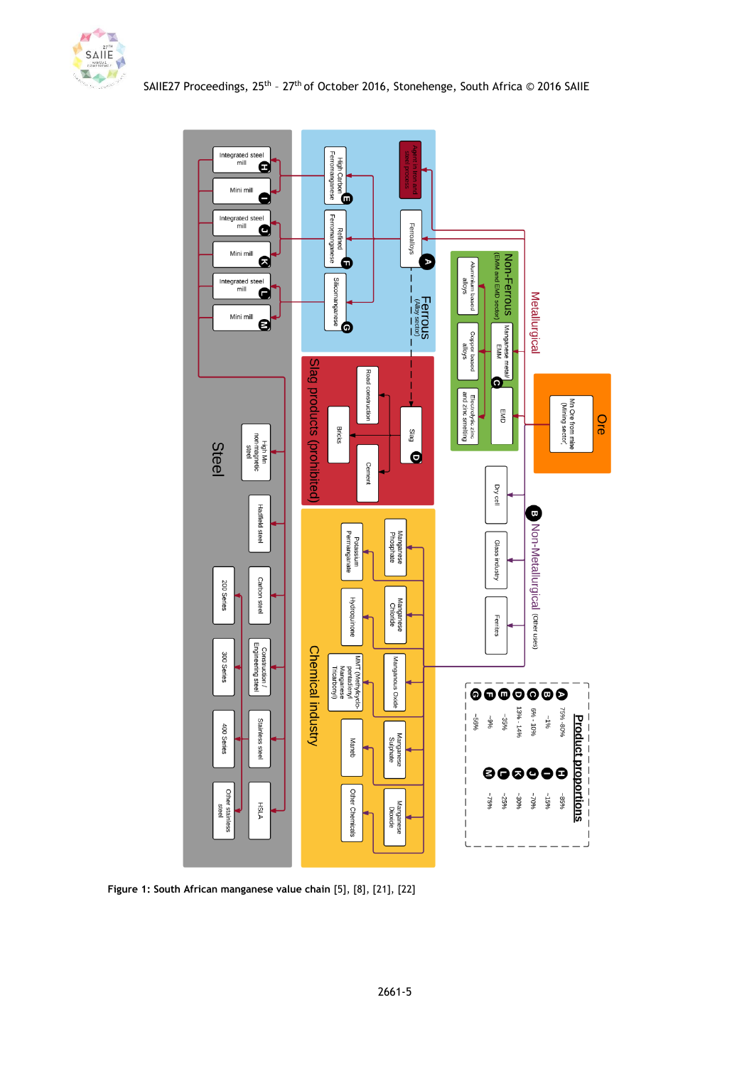



<span id="page-4-0"></span>**Figure 1: South African manganese value chain** [5], [8], [21], [22]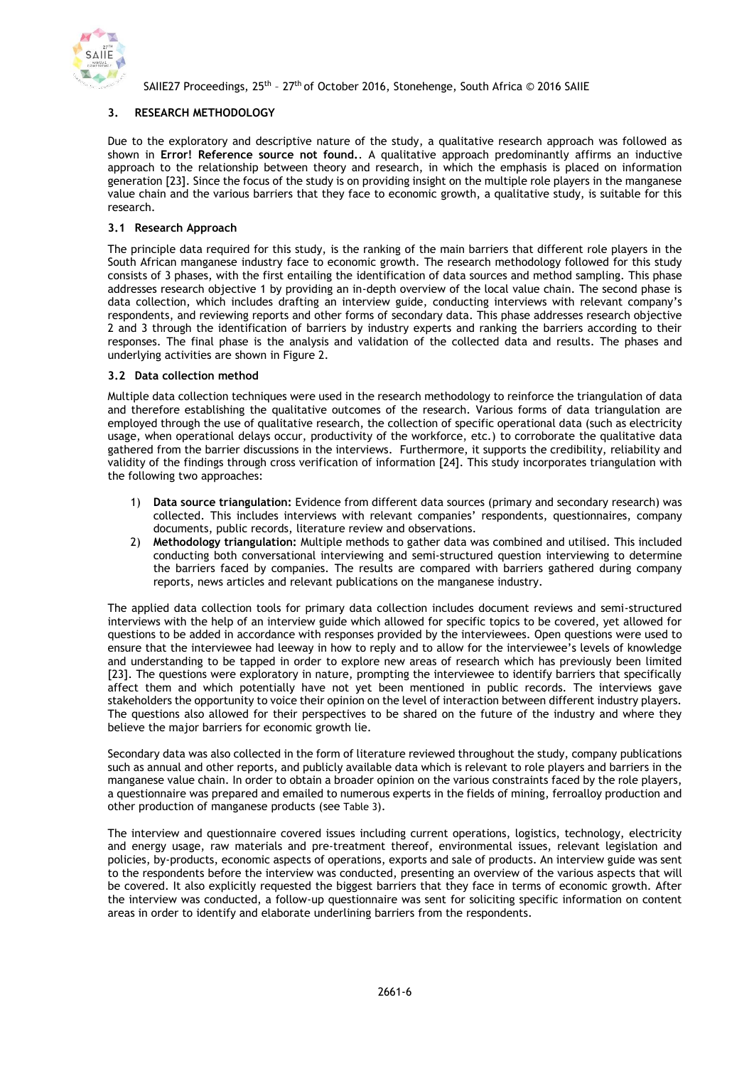

## **3. RESEARCH METHODOLOGY**

Due to the exploratory and descriptive nature of the study, a qualitative research approach was followed as shown in **Error! Reference source not found.**. A qualitative approach predominantly affirms an inductive approach to the relationship between theory and research, in which the emphasis is placed on information generation [23]. Since the focus of the study is on providing insight on the multiple role players in the manganese value chain and the various barriers that they face to economic growth, a qualitative study, is suitable for this research.

# **3.1 Research Approach**

The principle data required for this study, is the ranking of the main barriers that different role players in the South African manganese industry face to economic growth. The research methodology followed for this study consists of 3 phases, with the first entailing the identification of data sources and method sampling. This phase addresses research objective 1 by providing an in-depth overview of the local value chain. The second phase is data collection, which includes drafting an interview guide, conducting interviews with relevant company's respondents, and reviewing reports and other forms of secondary data. This phase addresses research objective 2 and 3 through the identification of barriers by industry experts and ranking the barriers according to their responses. The final phase is the analysis and validation of the collected data and results. The phases and underlying activities are shown in [Figure 2.](#page-6-0)

## **3.2 Data collection method**

Multiple data collection techniques were used in the research methodology to reinforce the triangulation of data and therefore establishing the qualitative outcomes of the research. Various forms of data triangulation are employed through the use of qualitative research, the collection of specific operational data (such as electricity usage, when operational delays occur, productivity of the workforce, etc.) to corroborate the qualitative data gathered from the barrier discussions in the interviews. Furthermore, it supports the credibility, reliability and validity of the findings through cross verification of information [24]. This study incorporates triangulation with the following two approaches:

- 1) **Data source triangulation:** Evidence from different data sources (primary and secondary research) was collected. This includes interviews with relevant companies' respondents, questionnaires, company documents, public records, literature review and observations.
- 2) **Methodology triangulation:** Multiple methods to gather data was combined and utilised. This included conducting both conversational interviewing and semi-structured question interviewing to determine the barriers faced by companies. The results are compared with barriers gathered during company reports, news articles and relevant publications on the manganese industry.

The applied data collection tools for primary data collection includes document reviews and semi-structured interviews with the help of an interview guide which allowed for specific topics to be covered, yet allowed for questions to be added in accordance with responses provided by the interviewees. Open questions were used to ensure that the interviewee had leeway in how to reply and to allow for the interviewee's levels of knowledge and understanding to be tapped in order to explore new areas of research which has previously been limited [23]. The questions were exploratory in nature, prompting the interviewee to identify barriers that specifically affect them and which potentially have not yet been mentioned in public records. The interviews gave stakeholders the opportunity to voice their opinion on the level of interaction between different industry players. The questions also allowed for their perspectives to be shared on the future of the industry and where they believe the major barriers for economic growth lie.

Secondary data was also collected in the form of literature reviewed throughout the study, company publications such as annual and other reports, and publicly available data which is relevant to role players and barriers in the manganese value chain. In order to obtain a broader opinion on the various constraints faced by the role players, a questionnaire was prepared and emailed to numerous experts in the fields of mining, ferroalloy production and other production of manganese products (see [Table 3](#page-7-0)).

The interview and questionnaire covered issues including current operations, logistics, technology, electricity and energy usage, raw materials and pre-treatment thereof, environmental issues, relevant legislation and policies, by-products, economic aspects of operations, exports and sale of products. An interview guide was sent to the respondents before the interview was conducted, presenting an overview of the various aspects that will be covered. It also explicitly requested the biggest barriers that they face in terms of economic growth. After the interview was conducted, a follow-up questionnaire was sent for soliciting specific information on content areas in order to identify and elaborate underlining barriers from the respondents.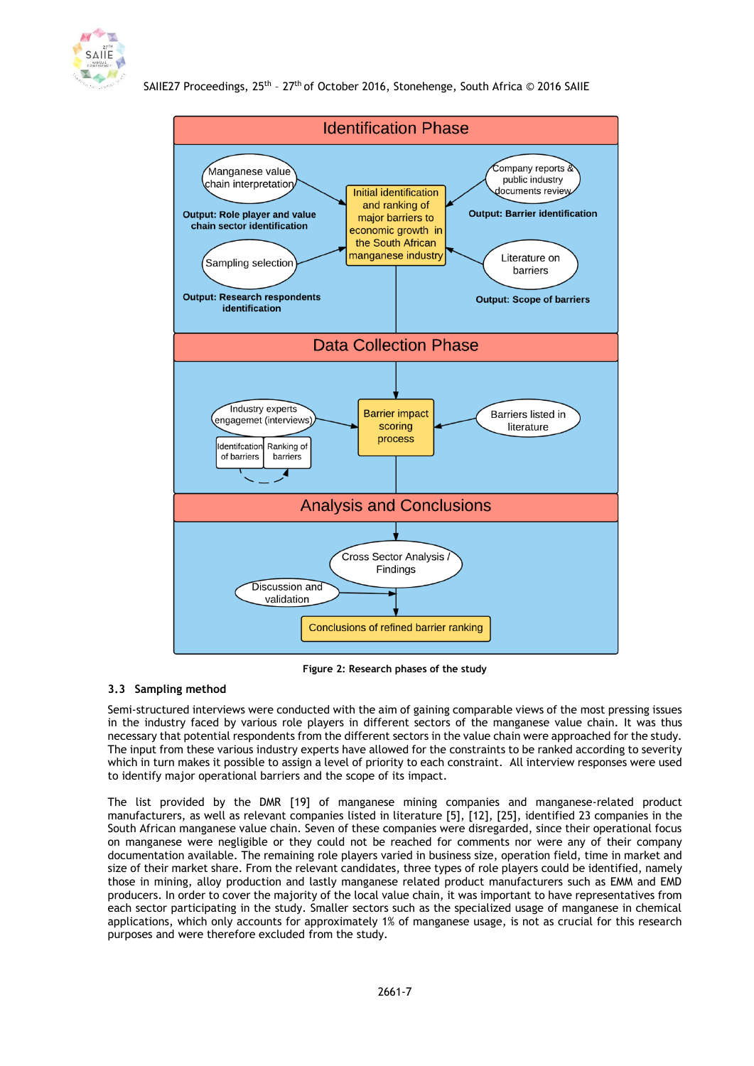



**Figure 2: Research phases of the study**

## <span id="page-6-0"></span>**3.3 Sampling method**

Semi-structured interviews were conducted with the aim of gaining comparable views of the most pressing issues in the industry faced by various role players in different sectors of the manganese value chain. It was thus necessary that potential respondents from the different sectors in the value chain were approached for the study. The input from these various industry experts have allowed for the constraints to be ranked according to severity which in turn makes it possible to assign a level of priority to each constraint. All interview responses were used to identify major operational barriers and the scope of its impact.

The list provided by the DMR [19] of manganese mining companies and manganese-related product manufacturers, as well as relevant companies listed in literature [5], [12], [25], identified 23 companies in the South African manganese value chain. Seven of these companies were disregarded, since their operational focus on manganese were negligible or they could not be reached for comments nor were any of their company documentation available. The remaining role players varied in business size, operation field, time in market and size of their market share. From the relevant candidates, three types of role players could be identified, namely those in mining, alloy production and lastly manganese related product manufacturers such as EMM and EMD producers. In order to cover the majority of the local value chain, it was important to have representatives from each sector participating in the study. Smaller sectors such as the specialized usage of manganese in chemical applications, which only accounts for approximately 1% of manganese usage, is not as crucial for this research purposes and were therefore excluded from the study.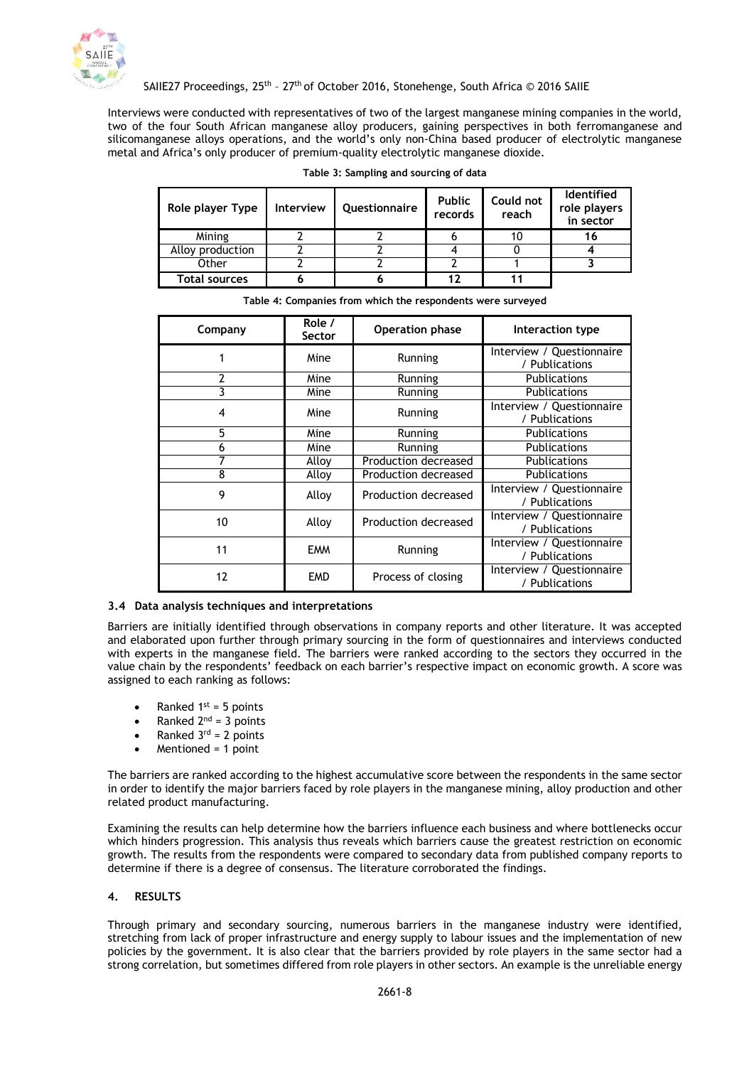

<span id="page-7-0"></span>Interviews were conducted with representatives of two of the largest manganese mining companies in the world, two of the four South African manganese alloy producers, gaining perspectives in both ferromanganese and silicomanganese alloys operations, and the world's only non-China based producer of electrolytic manganese metal and Africa's only producer of premium-quality electrolytic manganese dioxide.

| Role player Type     | <b>Interview</b> | Questionnaire | <b>Public</b><br>records | Could not<br>reach | <b>Identified</b><br>role players<br>in sector |
|----------------------|------------------|---------------|--------------------------|--------------------|------------------------------------------------|
| Mining               |                  |               |                          | 10                 | 16                                             |
| Alloy production     |                  |               |                          |                    |                                                |
| Other                |                  |               |                          |                    |                                                |
| <b>Total sources</b> |                  |               |                          |                    |                                                |

|  |  | Table 3: Sampling and sourcing of data |  |  |  |  |
|--|--|----------------------------------------|--|--|--|--|
|--|--|----------------------------------------|--|--|--|--|

|  |  | Table 4: Companies from which the respondents were surveyed |
|--|--|-------------------------------------------------------------|

| Company | Role /<br>Sector | Operation phase      | Interaction type                            |  |
|---------|------------------|----------------------|---------------------------------------------|--|
|         | Mine             | Running              | Interview / Questionnaire<br>/ Publications |  |
| 2       | Mine             | Running              | <b>Publications</b>                         |  |
| 3       | Mine             | Running              | <b>Publications</b>                         |  |
| 4       | Mine             | Running              | Interview / Questionnaire<br>/ Publications |  |
| 5       | Mine             | Running              | <b>Publications</b>                         |  |
| 6       | Mine             | Running              | <b>Publications</b>                         |  |
| 7       | Alloy            | Production decreased | <b>Publications</b>                         |  |
| 8       | Alloy            | Production decreased | Publications                                |  |
| 9       | Alloy            | Production decreased | Interview / Questionnaire<br>/ Publications |  |
| 10      | Alloy            | Production decreased | Interview / Questionnaire<br>/ Publications |  |
| 11      | <b>EMM</b>       | Running              | Interview / Questionnaire<br>/ Publications |  |
| 12      | <b>EMD</b>       | Process of closing   | Interview / Questionnaire<br>/ Publications |  |

### **3.4 Data analysis techniques and interpretations**

Barriers are initially identified through observations in company reports and other literature. It was accepted and elaborated upon further through primary sourcing in the form of questionnaires and interviews conducted with experts in the manganese field. The barriers were ranked according to the sectors they occurred in the value chain by the respondents' feedback on each barrier's respective impact on economic growth. A score was assigned to each ranking as follows:

- Ranked  $1^{st} = 5$  points
- Ranked  $2^{nd} = 3$  points
- Ranked  $3^{rd} = 2$  points
- Mentioned = 1 point

The barriers are ranked according to the highest accumulative score between the respondents in the same sector in order to identify the major barriers faced by role players in the manganese mining, alloy production and other related product manufacturing.

Examining the results can help determine how the barriers influence each business and where bottlenecks occur which hinders progression. This analysis thus reveals which barriers cause the greatest restriction on economic growth. The results from the respondents were compared to secondary data from published company reports to determine if there is a degree of consensus. The literature corroborated the findings.

### **4. RESULTS**

Through primary and secondary sourcing, numerous barriers in the manganese industry were identified, stretching from lack of proper infrastructure and energy supply to labour issues and the implementation of new policies by the government. It is also clear that the barriers provided by role players in the same sector had a strong correlation, but sometimes differed from role players in other sectors. An example is the unreliable energy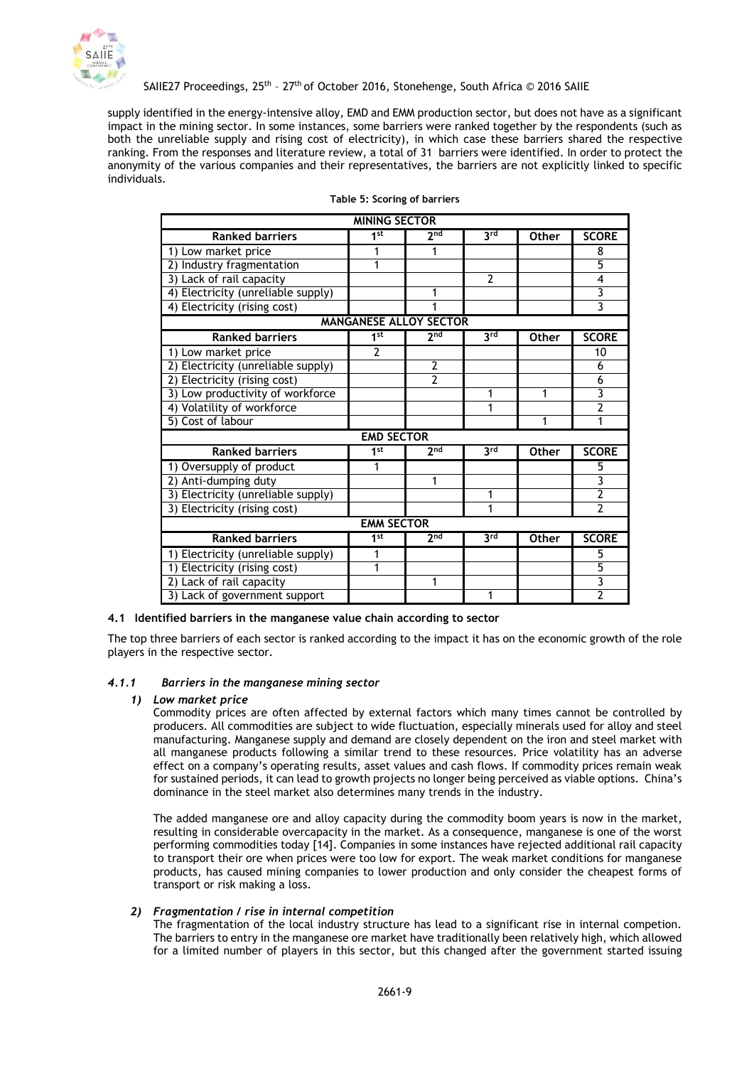

supply identified in the energy-intensive alloy, EMD and EMM production sector, but does not have as a significant impact in the mining sector. In some instances, some barriers were ranked together by the respondents (such as both the unreliable supply and rising cost of electricity), in which case these barriers shared the respective ranking. From the responses and literature review, a total of 31 barriers were identified. In order to protect the anonymity of the various companies and their representatives, the barriers are not explicitly linked to specific individuals.

| <b>MINING SECTOR</b>               |                   |                               |                |              |                           |  |  |
|------------------------------------|-------------------|-------------------------------|----------------|--------------|---------------------------|--|--|
| <b>Ranked barriers</b>             | 1st               | 2 <sub>nd</sub>               | 3rd            | <b>Other</b> | <b>SCORE</b>              |  |  |
| 1) Low market price                |                   |                               |                |              | 8                         |  |  |
| 2) Industry fragmentation          | 1                 |                               |                |              | 5                         |  |  |
| 3) Lack of rail capacity           |                   |                               | $\overline{2}$ |              | 4                         |  |  |
| 4) Electricity (unreliable supply) |                   | 1                             |                |              | 3                         |  |  |
| 4) Electricity (rising cost)       |                   |                               |                |              | 3                         |  |  |
|                                    |                   | <b>MANGANESE ALLOY SECTOR</b> |                |              |                           |  |  |
| <b>Ranked barriers</b>             | 1 <sub>st</sub>   | $2n\overline{d}$              | 3rd            | <b>Other</b> | <b>SCORE</b>              |  |  |
| 1) Low market price                | $\overline{2}$    |                               |                |              | 10                        |  |  |
| 2) Electricity (unreliable supply) |                   | 2                             |                |              | 6                         |  |  |
| 2) Electricity (rising cost)       |                   | $\overline{2}$                |                |              | 6                         |  |  |
| 3) Low productivity of workforce   |                   |                               | 1              | 1            | $\overline{\mathbf{3}}$   |  |  |
| 4) Volatility of workforce         |                   |                               | 1              |              | 2                         |  |  |
| 5) Cost of labour                  |                   |                               |                | 1            | 1                         |  |  |
|                                    | <b>EMD SECTOR</b> |                               |                |              |                           |  |  |
| <b>Ranked barriers</b>             | 1st               | 2 <sub>nd</sub>               | 3rd            | <b>Other</b> | <b>SCORE</b>              |  |  |
| 1) Oversupply of product           | 1                 |                               |                |              | 5                         |  |  |
| 2) Anti-dumping duty               |                   | 1                             |                |              | $\overline{\mathbf{3}}$   |  |  |
| 3) Electricity (unreliable supply) |                   |                               | 1              |              | $\overline{2}$            |  |  |
| 3) Electricity (rising cost)       |                   |                               | 1              |              | $\overline{2}$            |  |  |
|                                    | <b>EMM SECTOR</b> |                               |                |              |                           |  |  |
| <b>Ranked barriers</b>             | 1st               | 2 <sub>nd</sub>               | 3rd            | <b>Other</b> | <b>SCORE</b>              |  |  |
| 1) Electricity (unreliable supply) | 1                 |                               |                |              | 5                         |  |  |
| 1) Electricity (rising cost)       | 1                 |                               |                |              | 5                         |  |  |
| 2) Lack of rail capacity           |                   | 1                             |                |              | $\overline{\overline{3}}$ |  |  |
| 3) Lack of government support      |                   |                               | 1              |              | $\overline{2}$            |  |  |

### **Table 5: Scoring of barriers**

### **4.1 Identified barriers in the manganese value chain according to sector**

The top three barriers of each sector is ranked according to the impact it has on the economic growth of the role players in the respective sector.

### *4.1.1 Barriers in the manganese mining sector*

#### *1) Low market price*

Commodity prices are often affected by external factors which many times cannot be controlled by producers. All commodities are subject to wide fluctuation, especially minerals used for alloy and steel manufacturing. Manganese supply and demand are closely dependent on the iron and steel market with all manganese products following a similar trend to these resources. Price volatility has an adverse effect on a company's operating results, asset values and cash flows. If commodity prices remain weak for sustained periods, it can lead to growth projects no longer being perceived as viable options. China's dominance in the steel market also determines many trends in the industry.

The added manganese ore and alloy capacity during the commodity boom years is now in the market, resulting in considerable overcapacity in the market. As a consequence, manganese is one of the worst performing commodities today [14]. Companies in some instances have rejected additional rail capacity to transport their ore when prices were too low for export. The weak market conditions for manganese products, has caused mining companies to lower production and only consider the cheapest forms of transport or risk making a loss.

### *2) Fragmentation / rise in internal competition*

The fragmentation of the local industry structure has lead to a significant rise in internal competion. The barriers to entry in the manganese ore market have traditionally been relatively high, which allowed for a limited number of players in this sector, but this changed after the government started issuing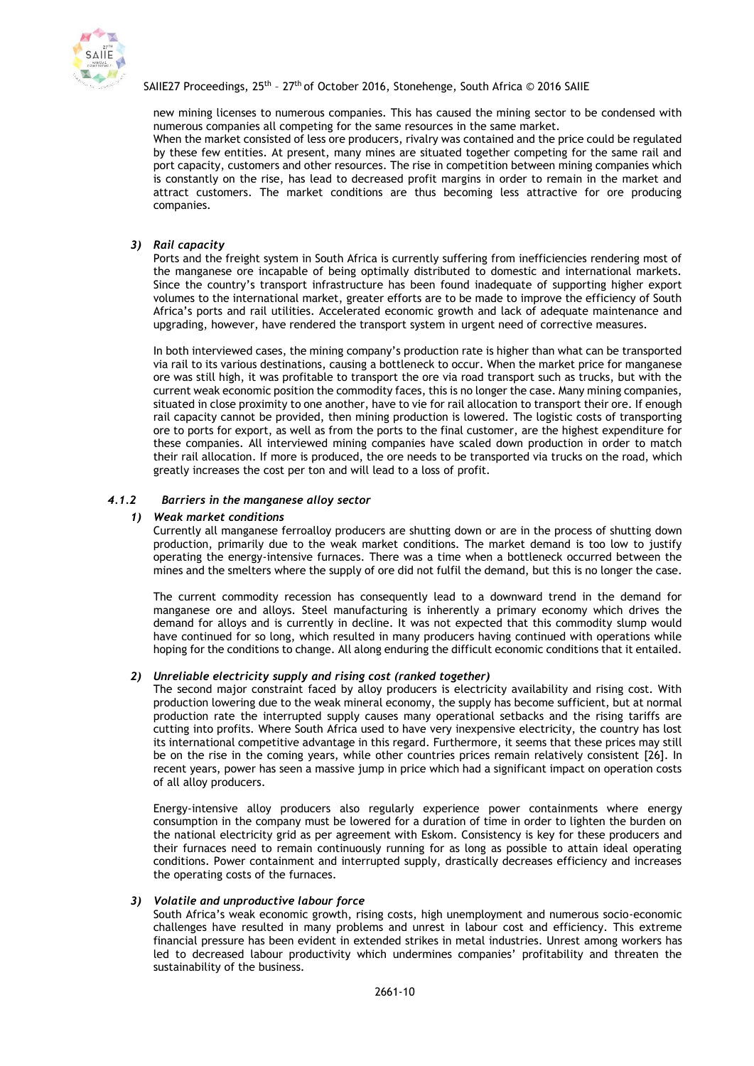

new mining licenses to numerous companies. This has caused the mining sector to be condensed with numerous companies all competing for the same resources in the same market.

When the market consisted of less ore producers, rivalry was contained and the price could be regulated by these few entities. At present, many mines are situated together competing for the same rail and port capacity, customers and other resources. The rise in competition between mining companies which is constantly on the rise, has lead to decreased profit margins in order to remain in the market and attract customers. The market conditions are thus becoming less attractive for ore producing companies.

*3) Rail capacity*

Ports and the freight system in South Africa is currently suffering from inefficiencies rendering most of the manganese ore incapable of being optimally distributed to domestic and international markets. Since the country's transport infrastructure has been found inadequate of supporting higher export volumes to the international market, greater efforts are to be made to improve the efficiency of South Africa's ports and rail utilities. Accelerated economic growth and lack of adequate maintenance and upgrading, however, have rendered the transport system in urgent need of corrective measures.

In both interviewed cases, the mining company's production rate is higher than what can be transported via rail to its various destinations, causing a bottleneck to occur. When the market price for manganese ore was still high, it was profitable to transport the ore via road transport such as trucks, but with the current weak economic position the commodity faces, this is no longer the case. Many mining companies, situated in close proximity to one another, have to vie for rail allocation to transport their ore. If enough rail capacity cannot be provided, then mining production is lowered. The logistic costs of transporting ore to ports for export, as well as from the ports to the final customer, are the highest expenditure for these companies. All interviewed mining companies have scaled down production in order to match their rail allocation. If more is produced, the ore needs to be transported via trucks on the road, which greatly increases the cost per ton and will lead to a loss of profit.

## *4.1.2 Barriers in the manganese alloy sector*

## *1) Weak market conditions*

Currently all manganese ferroalloy producers are shutting down or are in the process of shutting down production, primarily due to the weak market conditions. The market demand is too low to justify operating the energy-intensive furnaces. There was a time when a bottleneck occurred between the mines and the smelters where the supply of ore did not fulfil the demand, but this is no longer the case.

The current commodity recession has consequently lead to a downward trend in the demand for manganese ore and alloys. Steel manufacturing is inherently a primary economy which drives the demand for alloys and is currently in decline. It was not expected that this commodity slump would have continued for so long, which resulted in many producers having continued with operations while hoping for the conditions to change. All along enduring the difficult economic conditions that it entailed.

### *2) Unreliable electricity supply and rising cost (ranked together)*

The second major constraint faced by alloy producers is electricity availability and rising cost. With production lowering due to the weak mineral economy, the supply has become sufficient, but at normal production rate the interrupted supply causes many operational setbacks and the rising tariffs are cutting into profits. Where South Africa used to have very inexpensive electricity, the country has lost its international competitive advantage in this regard. Furthermore, it seems that these prices may still be on the rise in the coming years, while other countries prices remain relatively consistent [26]. In recent years, power has seen a massive jump in price which had a significant impact on operation costs of all alloy producers.

Energy-intensive alloy producers also regularly experience power containments where energy consumption in the company must be lowered for a duration of time in order to lighten the burden on the national electricity grid as per agreement with Eskom. Consistency is key for these producers and their furnaces need to remain continuously running for as long as possible to attain ideal operating conditions. Power containment and interrupted supply, drastically decreases efficiency and increases the operating costs of the furnaces.

### *3) Volatile and unproductive labour force*

South Africa's weak economic growth, rising costs, high unemployment and numerous socio-economic challenges have resulted in many problems and unrest in labour cost and efficiency. This extreme financial pressure has been evident in extended strikes in metal industries. Unrest among workers has led to decreased labour productivity which undermines companies' profitability and threaten the sustainability of the business.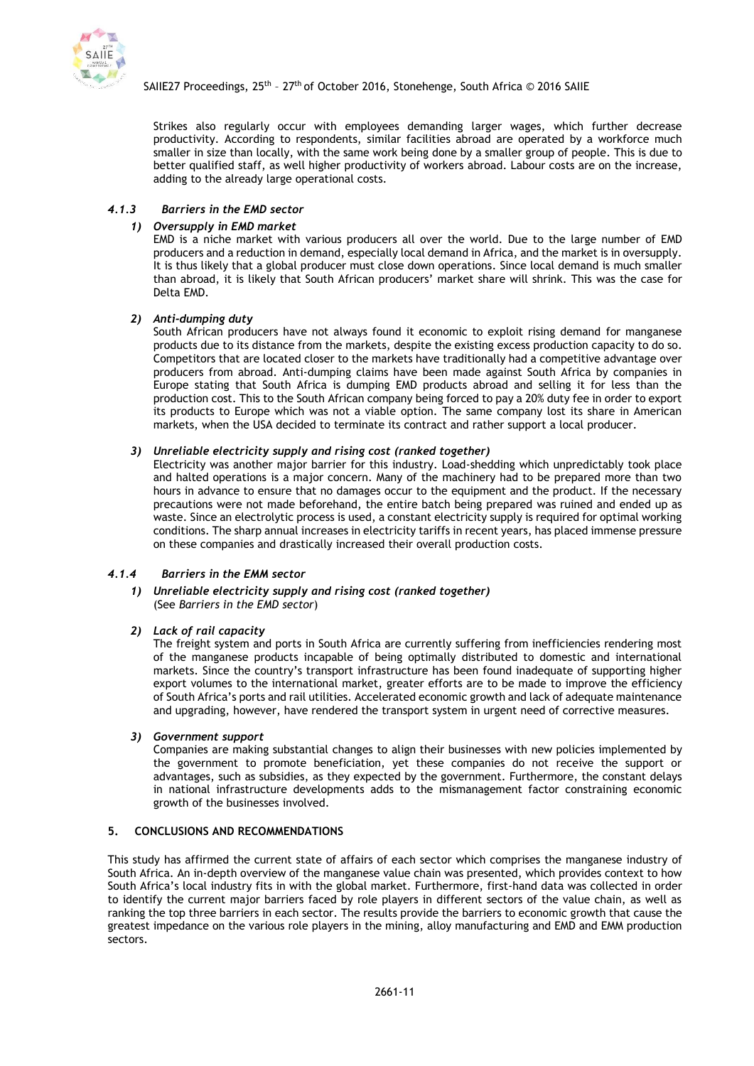

Strikes also regularly occur with employees demanding larger wages, which further decrease productivity. According to respondents, similar facilities abroad are operated by a workforce much smaller in size than locally, with the same work being done by a smaller group of people. This is due to better qualified staff, as well higher productivity of workers abroad. Labour costs are on the increase, adding to the already large operational costs.

## <span id="page-10-0"></span>*4.1.3 Barriers in the EMD sector*

## *1) Oversupply in EMD market*

EMD is a niche market with various producers all over the world. Due to the large number of EMD producers and a reduction in demand, especially local demand in Africa, and the market is in oversupply. It is thus likely that a global producer must close down operations. Since local demand is much smaller than abroad, it is likely that South African producers' market share will shrink. This was the case for Delta EMD.

## *2) Anti-dumping duty*

South African producers have not always found it economic to exploit rising demand for manganese products due to its distance from the markets, despite the existing excess production capacity to do so. Competitors that are located closer to the markets have traditionally had a competitive advantage over producers from abroad. Anti-dumping claims have been made against South Africa by companies in Europe stating that South Africa is dumping EMD products abroad and selling it for less than the production cost. This to the South African company being forced to pay a 20% duty fee in order to export its products to Europe which was not a viable option. The same company lost its share in American markets, when the USA decided to terminate its contract and rather support a local producer.

### *3) Unreliable electricity supply and rising cost (ranked together)*

Electricity was another major barrier for this industry. Load-shedding which unpredictably took place and halted operations is a major concern. Many of the machinery had to be prepared more than two hours in advance to ensure that no damages occur to the equipment and the product. If the necessary precautions were not made beforehand, the entire batch being prepared was ruined and ended up as waste. Since an electrolytic process is used, a constant electricity supply is required for optimal working conditions. The sharp annual increases in electricity tariffs in recent years, has placed immense pressure on these companies and drastically increased their overall production costs.

## *4.1.4 Barriers in the EMM sector*

### *1) Unreliable electricity supply and rising cost (ranked together)* (See *[Barriers in the EMD sector](#page-10-0)*)

### *2) Lack of rail capacity*

The freight system and ports in South Africa are currently suffering from inefficiencies rendering most of the manganese products incapable of being optimally distributed to domestic and international markets. Since the country's transport infrastructure has been found inadequate of supporting higher export volumes to the international market, greater efforts are to be made to improve the efficiency of South Africa's ports and rail utilities. Accelerated economic growth and lack of adequate maintenance and upgrading, however, have rendered the transport system in urgent need of corrective measures.

### *3) Government support*

Companies are making substantial changes to align their businesses with new policies implemented by the government to promote beneficiation, yet these companies do not receive the support or advantages, such as subsidies, as they expected by the government. Furthermore, the constant delays in national infrastructure developments adds to the mismanagement factor constraining economic growth of the businesses involved.

## **5. CONCLUSIONS AND RECOMMENDATIONS**

This study has affirmed the current state of affairs of each sector which comprises the manganese industry of South Africa. An in-depth overview of the manganese value chain was presented, which provides context to how South Africa's local industry fits in with the global market. Furthermore, first-hand data was collected in order to identify the current major barriers faced by role players in different sectors of the value chain, as well as ranking the top three barriers in each sector. The results provide the barriers to economic growth that cause the greatest impedance on the various role players in the mining, alloy manufacturing and EMD and EMM production sectors.